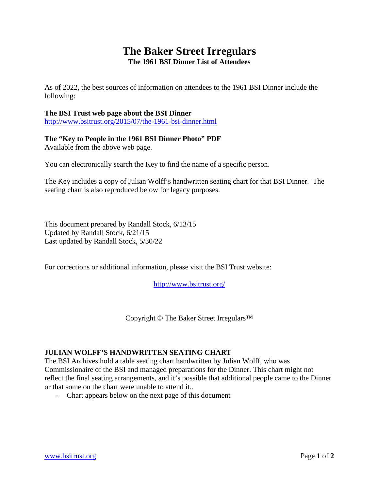## **The Baker Street Irregulars The 1961 BSI Dinner List of Attendees**

As of 2022, the best sources of information on attendees to the 1961 BSI Dinner include the following:

## **The BSI Trust web page about the BSI Dinner**

<http://www.bsitrust.org/2015/07/the-1961-bsi-dinner.html>

## **The "Key to People in the 1961 BSI Dinner Photo" PDF**

Available from the above web page.

You can electronically search the Key to find the name of a specific person.

The Key includes a copy of Julian Wolff's handwritten seating chart for that BSI Dinner. The seating chart is also reproduced below for legacy purposes.

This document prepared by Randall Stock, 6/13/15 Updated by Randall Stock, 6/21/15 Last updated by Randall Stock, 5/30/22

For corrections or additional information, please visit the BSI Trust website:

<http://www.bsitrust.org/>

Copyright © The Baker Street Irregulars™

## **JULIAN WOLFF'S HANDWRITTEN SEATING CHART**

The BSI Archives hold a table seating chart handwritten by Julian Wolff, who was Commissionaire of the BSI and managed preparations for the Dinner. This chart might not reflect the final seating arrangements, and it's possible that additional people came to the Dinner or that some on the chart were unable to attend it..

- Chart appears below on the next page of this document